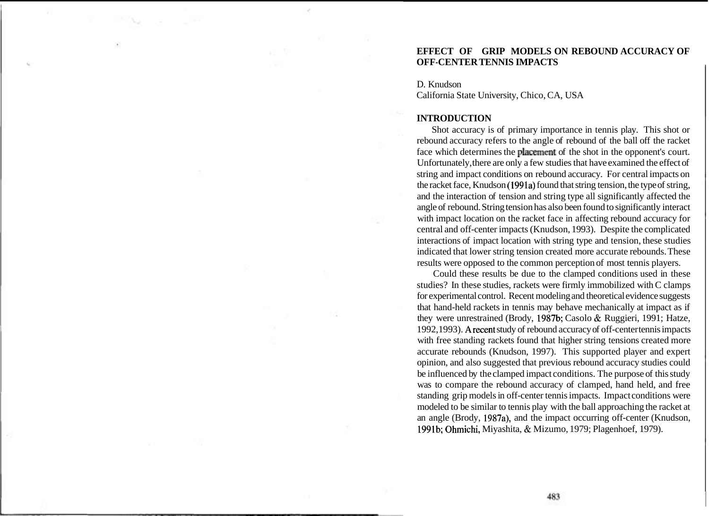# **EFFECT OF GRIP MODELS ON REBOUND ACCURACY OF OFF-CENTER TENNIS IMPACTS**

D. Knudson California State University, Chico, CA, USA

### **INTRODUCTION**

Shot accuracy is of primary importance in tennis play. This shot or rebound accuracy refers to the angle of rebound of the ball off the racket face which determines the placement of the shot in the opponent's court. Unfortunately, there are only a few studies that have examined the effect of string and impact conditions on rebound accuracy. For central impacts on the racket face, Knudson (1991a) found that string tension, the type of string, and the interaction of tension and string type all significantly affected the angle of rebound. String tension has also been found to significantly interact with impact location on the racket face in affecting rebound accuracy for central and off-center impacts (Knudson, 1993). Despite the complicated interactions of impact location with string type and tension, these studies indicated that lower string tension created more accurate rebounds. These results were opposed to the common perception of most tennis players.

Could these results be due to the clamped conditions used in these studies? In these studies, rackets were firmly immobilized with C clamps for experimental control. Recent modeling and theoretical evidence suggests that hand-held rackets in tennis may behave mechanically at impact as if they were unrestrained (Brody, 1987b; Casolo & Ruggieri, 1991; Hatze, 1992,1993). Arecent study of rebound accuracy of off-center tennis impacts with free standing rackets found that higher string tensions created more accurate rebounds (Knudson, 1997). This supported player and expert opinion, and also suggested that previous rebound accuracy studies could be influenced by the clamped impact conditions. The purpose of this study was to compare the rebound accuracy of clamped, hand held, and free standing grip models in off-center tennis impacts. Impact conditions were modeled to be similar to tennis play with the ball approaching the racket at an angle (Brody, 1987a), and the impact occurring off-center (Knudson, 1991b; Ohmichi, Miyashita, & Mizumo, 1979; Plagenhoef, 1979).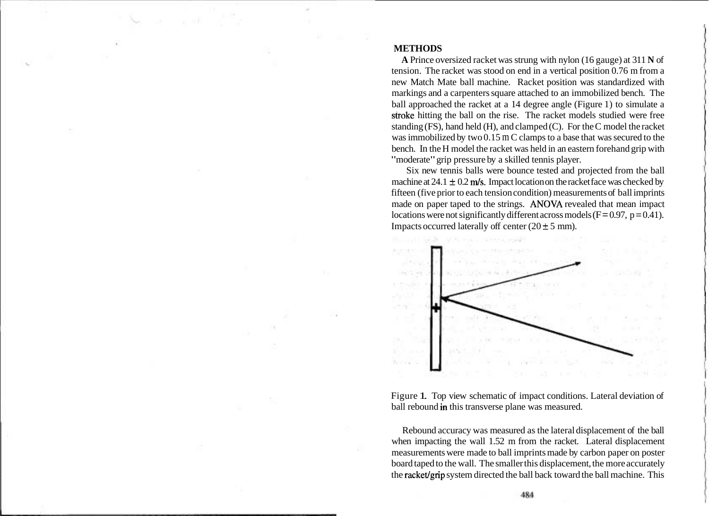#### **METHODS**

**A** Prince oversized racket was strung with nylon (16 gauge) at 311 **N** of tension. The racket was stood on end in a vertical position 0.76 m from a new Match Mate ball machine. Racket position was standardized with markings and a carpenters square attached to an immobilized bench. The ball approached the racket at a 14 degree angle (Figure 1) to simulate a sttoke hitting the ball on the rise. The racket models studied were free standing (FS), hand held (H), and clamped (C). For the C model the racket was immobilized by two 0.15 m C clamps to a base that was secured to the bench. In the H model the racket was held in an eastern forehand grip with "moderate" grip pressure by a skilled tennis player.

Six new tennis balls were bounce tested and projected from the ball machine at  $24.1 \pm 0.2$  m/s. Impact location on the racket face was checked by fifteen (five prior to each tension condition) measurements of ball imprints made on paper taped to the strings. **ANOVA** revealed that mean impact locations were not significantly different across models  $(F=0.97, p=0.41)$ . Impacts occurred laterally off center  $(20 \pm 5 \text{ mm})$ .



Figure 1. Top view schematic of impact conditions. Lateral deviation of ball rebound in this transverse plane was measured.

Rebound accuracy was measured as the lateral displacement of the ball when impacting the wall 1.52 m from the racket. Lateral displacement measurements were made to ball imprints made by carbon paper on poster board taped to the wall. The smaller this displacement, the more accurately the racket/grip system directed the ball back toward the ball machine. This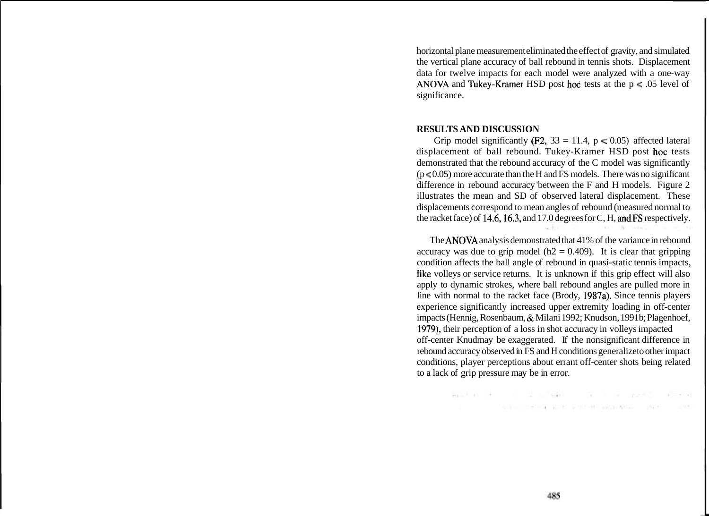horizontal plane measurement eliminated the effect of gravity, and simulated the vertical plane accuracy of ball rebound in tennis shots. Displacement data for twelve impacts for each model were analyzed with a one-way **ANOVA** and Tukey-Kramer HSD post hoc tests at the  $p \le .05$  level of significance.

#### **RESULTS AND DISCUSSION**

Grip model significantly (F2, 33 = 11.4,  $p \le 0.05$ ) affected lateral displacement of ball rebound. Tukey-Kramer HSD post hoc tests demonstrated that the rebound accuracy of the C model was significantly  $(p < 0.05)$  more accurate than the H and FS models. There was no significant difference in rebound accuracy 'between the F and H models. Figure 2 illustrates the mean and SD of observed lateral displacement. These displacements correspond to mean angles of rebound (measured normal to the racket face) of 14.6,16.3, and 17.0 degrees for C, H, and.FS respectively.

2010.1

The **ANOVA** analysis demonstrated that 41% of the variance in rebound accuracy was due to grip model ( $h2 = 0.409$ ). It is clear that gripping condition affects the ball angle of rebound in quasi-static tennis impacts, like volleys or service returns. It is unknown if this grip effect will also apply to dynamic strokes, where ball rebound angles are pulled more in line with normal to the racket face (Brody, 1987a). Since tennis players experience significantly increased upper extremity loading in off-center impacts (Hennig, Rosenbaum, & Milani 1992; Knudson, 1991 b; Plagenhoef, 1979), their perception of a loss in shot accuracy in volleys impacted off-center Knudmay be exaggerated. If the nonsignificant difference in rebound accuracy observed in FS and H conditions generalize to other impact conditions, player perceptions about errant off-center shots being related to a lack of grip pressure may be in error.

> 유지하는 김 대리를 사용하는 것이 아니 마술에서 다음을 하 The contract of the company of the contract of the contract of the contract of the contract of the contract of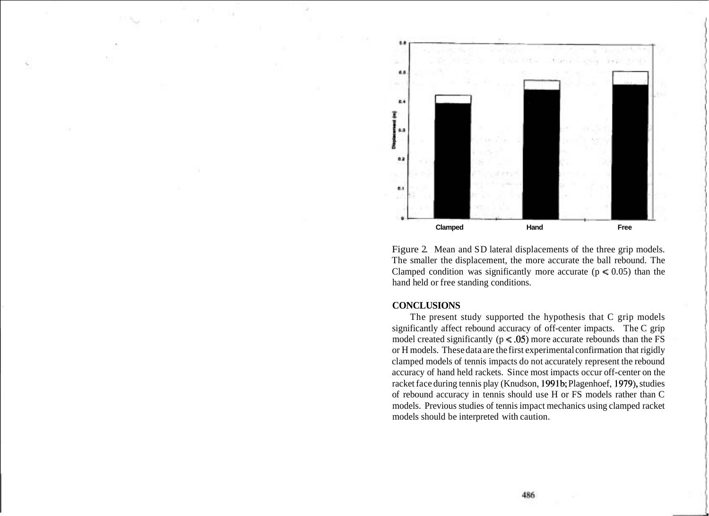

Figure 2. Mean and SD lateral displacements of the three grip models. The smaller the displacement, the more accurate the ball rebound. The Clamped condition was significantly more accurate ( $p \le 0.05$ ) than the hand held or free standing conditions.

## **CONCLUSIONS**

The present study supported the hypothesis that C grip models significantly affect rebound accuracy of off-center impacts. The C grip model created significantly ( $p \le .05$ ) more accurate rebounds than the FS or H models. These data are the first experimental confirmation that rigidly clamped models of tennis impacts do not accurately represent the rebound accuracy of hand held rackets. Since most impacts occur off-center on the racket face during tennis play (Knudson, 1991b; Plagenhoef, 1979), studies of rebound accuracy in tennis should use H or FS models rather than C models. Previous studies of tennis impact mechanics using clamped racket models should be interpreted with caution.